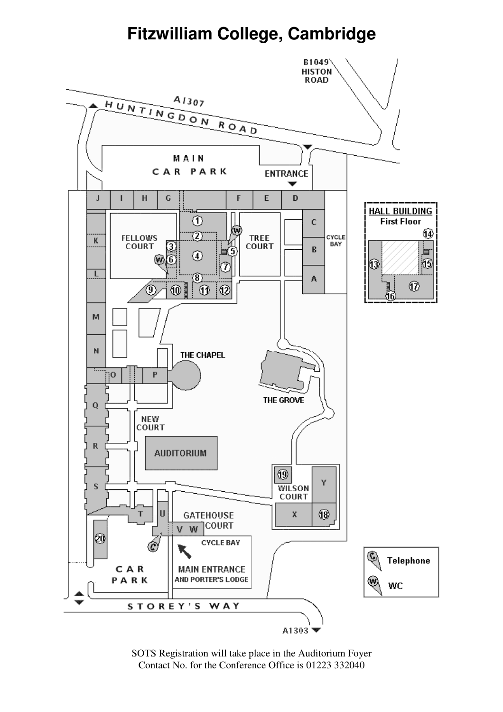# **Fitzwilliam College, Cambridge**



SOTS Registration will take place in the Auditorium Foyer Contact No. for the Conference Office is 01223 332040